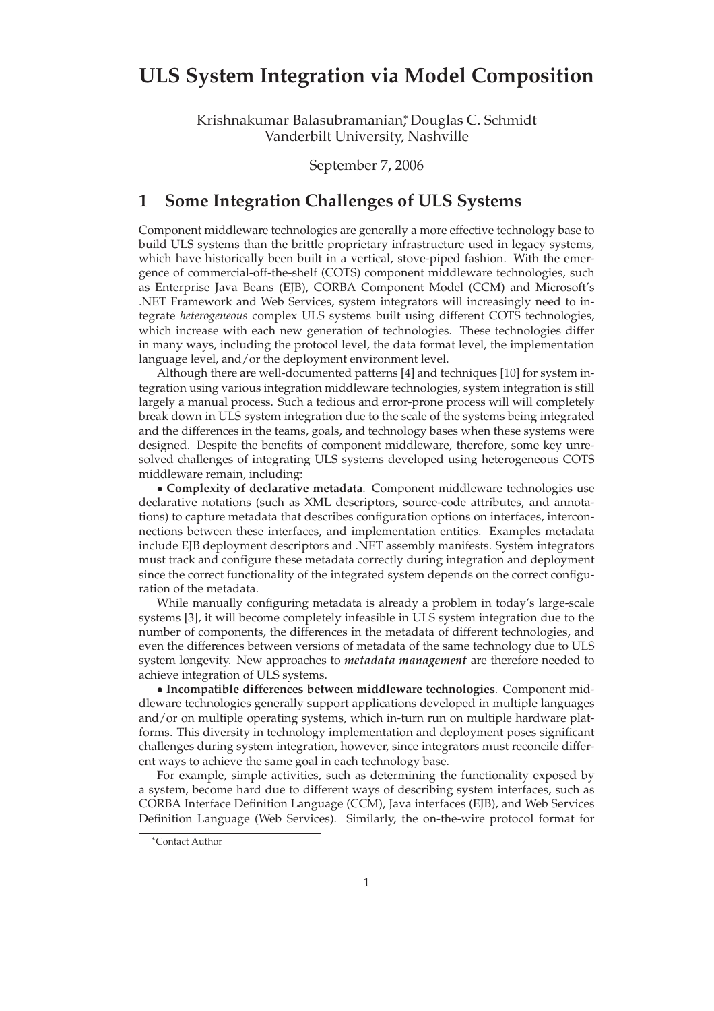## **ULS System Integration via Model Composition**

Krishnakumar Balasubramanian<sup>∗</sup> , Douglas C. Schmidt Vanderbilt University, Nashville

September 7, 2006

## **1 Some Integration Challenges of ULS Systems**

Component middleware technologies are generally a more effective technology base to build ULS systems than the brittle proprietary infrastructure used in legacy systems, which have historically been built in a vertical, stove-piped fashion. With the emergence of commercial-off-the-shelf (COTS) component middleware technologies, such as Enterprise Java Beans (EJB), CORBA Component Model (CCM) and Microsoft's .NET Framework and Web Services, system integrators will increasingly need to integrate *heterogeneous* complex ULS systems built using different COTS technologies, which increase with each new generation of technologies. These technologies differ in many ways, including the protocol level, the data format level, the implementation language level, and/or the deployment environment level.

Although there are well-documented patterns [4] and techniques [10] for system integration using various integration middleware technologies, system integration is still largely a manual process. Such a tedious and error-prone process will will completely break down in ULS system integration due to the scale of the systems being integrated and the differences in the teams, goals, and technology bases when these systems were designed. Despite the benefits of component middleware, therefore, some key unresolved challenges of integrating ULS systems developed using heterogeneous COTS middleware remain, including:

• **Complexity of declarative metadata**. Component middleware technologies use declarative notations (such as XML descriptors, source-code attributes, and annotations) to capture metadata that describes configuration options on interfaces, interconnections between these interfaces, and implementation entities. Examples metadata include EJB deployment descriptors and .NET assembly manifests. System integrators must track and configure these metadata correctly during integration and deployment since the correct functionality of the integrated system depends on the correct configuration of the metadata.

While manually configuring metadata is already a problem in today's large-scale systems [3], it will become completely infeasible in ULS system integration due to the number of components, the differences in the metadata of different technologies, and even the differences between versions of metadata of the same technology due to ULS system longevity. New approaches to *metadata management* are therefore needed to achieve integration of ULS systems.

• **Incompatible differences between middleware technologies**. Component middleware technologies generally support applications developed in multiple languages and/or on multiple operating systems, which in-turn run on multiple hardware platforms. This diversity in technology implementation and deployment poses significant challenges during system integration, however, since integrators must reconcile different ways to achieve the same goal in each technology base.

For example, simple activities, such as determining the functionality exposed by a system, become hard due to different ways of describing system interfaces, such as CORBA Interface Definition Language (CCM), Java interfaces (EJB), and Web Services Definition Language (Web Services). Similarly, the on-the-wire protocol format for

<sup>∗</sup>Contact Author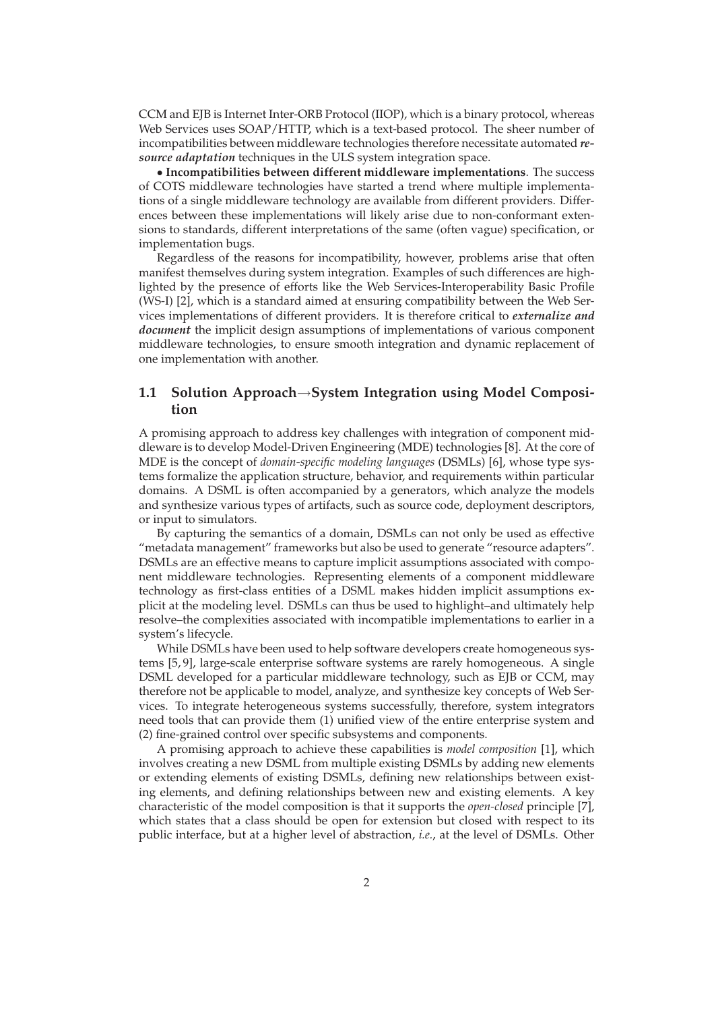CCM and EJB is Internet Inter-ORB Protocol (IIOP), which is a binary protocol, whereas Web Services uses  $\text{SOAP}/\text{HTTP}$ , which is a text-based protocol. The sheer number of incompatibilities between middleware technologies therefore necessitate automated *resource adaptation* techniques in the ULS system integration space.

• **Incompatibilities between different middleware implementations**. The success of COTS middleware technologies have started a trend where multiple implementations of a single middleware technology are available from different providers. Differences between these implementations will likely arise due to non-conformant extensions to standards, different interpretations of the same (often vague) specification, or implementation bugs.

Regardless of the reasons for incompatibility, however, problems arise that often manifest themselves during system integration. Examples of such differences are highlighted by the presence of efforts like the Web Services-Interoperability Basic Profile (WS-I) [2], which is a standard aimed at ensuring compatibility between the Web Services implementations of different providers. It is therefore critical to *externalize and document* the implicit design assumptions of implementations of various component middleware technologies, to ensure smooth integration and dynamic replacement of one implementation with another.

## **1.1 Solution Approach**→**System Integration using Model Composition**

A promising approach to address key challenges with integration of component middleware is to develop Model-Driven Engineering (MDE) technologies [8]. At the core of MDE is the concept of *domain-specific modeling languages* (DSMLs) [6], whose type systems formalize the application structure, behavior, and requirements within particular domains. A DSML is often accompanied by a generators, which analyze the models and synthesize various types of artifacts, such as source code, deployment descriptors, or input to simulators.

By capturing the semantics of a domain, DSMLs can not only be used as effective "metadata management" frameworks but also be used to generate "resource adapters". DSMLs are an effective means to capture implicit assumptions associated with component middleware technologies. Representing elements of a component middleware technology as first-class entities of a DSML makes hidden implicit assumptions explicit at the modeling level. DSMLs can thus be used to highlight–and ultimately help resolve–the complexities associated with incompatible implementations to earlier in a system's lifecycle.

While DSMLs have been used to help software developers create homogeneous systems [5, 9], large-scale enterprise software systems are rarely homogeneous. A single DSML developed for a particular middleware technology, such as EJB or CCM, may therefore not be applicable to model, analyze, and synthesize key concepts of Web Services. To integrate heterogeneous systems successfully, therefore, system integrators need tools that can provide them (1) unified view of the entire enterprise system and (2) fine-grained control over specific subsystems and components.

A promising approach to achieve these capabilities is *model composition* [1], which involves creating a new DSML from multiple existing DSMLs by adding new elements or extending elements of existing DSMLs, defining new relationships between existing elements, and defining relationships between new and existing elements. A key characteristic of the model composition is that it supports the *open-closed* principle [7], which states that a class should be open for extension but closed with respect to its public interface, but at a higher level of abstraction, *i.e.*, at the level of DSMLs. Other